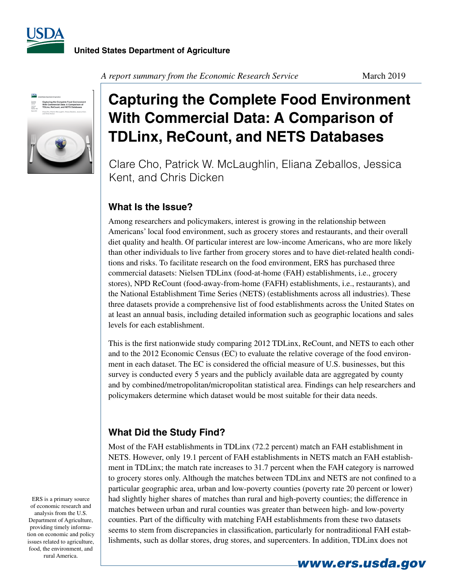



#### *A report summary from the Economic Research Service* March 2019

# **Capturing the Complete Food Environment With Commercial Data: A Comparison of TDLinx, ReCount, and NETS Databases**

Clare Cho, Patrick W. McLaughlin, Eliana Zeballos, Jessica Kent, and Chris Dicken

## **What Is the Issue?**

Among researchers and policymakers, interest is growing in the relationship between Americans' local food environment, such as grocery stores and restaurants, and their overall diet quality and health. Of particular interest are low-income Americans, who are more likely than other individuals to live farther from grocery stores and to have diet-related health conditions and risks. To facilitate research on the food environment, ERS has purchased three commercial datasets: Nielsen TDLinx (food-at-home (FAH) establishments, i.e., grocery stores), NPD ReCount (food-away-from-home (FAFH) establishments, i.e., restaurants), and the National Establishment Time Series (NETS) (establishments across all industries). These three datasets provide a comprehensive list of food establishments across the United States on at least an annual basis, including detailed information such as geographic locations and sales levels for each establishment.

This is the first nationwide study comparing 2012 TDLinx, ReCount, and NETS to each other and to the 2012 Economic Census (EC) to evaluate the relative coverage of the food environment in each dataset. The EC is considered the official measure of U.S. businesses, but this survey is conducted every 5 years and the publicly available data are aggregated by county and by combined/metropolitan/micropolitan statistical area. Findings can help researchers and policymakers determine which dataset would be most suitable for their data needs.

#### **What Did the Study Find?**

Most of the FAH establishments in TDLinx (72.2 percent) match an FAH establishment in NETS. However, only 19.1 percent of FAH establishments in NETS match an FAH establishment in TDLinx; the match rate increases to 31.7 percent when the FAH category is narrowed to grocery stores only. Although the matches between TDLinx and NETS are not confined to a particular geographic area, urban and low-poverty counties (poverty rate 20 percent or lower) had slightly higher shares of matches than rural and high-poverty counties; the difference in matches between urban and rural counties was greater than between high- and low-poverty counties. Part of the difficulty with matching FAH establishments from these two datasets seems to stem from discrepancies in classification, particularly for nontraditional FAH establishments, such as dollar stores, drug stores, and supercenters. In addition, TDLinx does not

ERS is a primary source of economic research and analysis from the U.S. Department of Agriculture, providing timely information on economic and policy issues related to agriculture, food, the environment, and rural America.